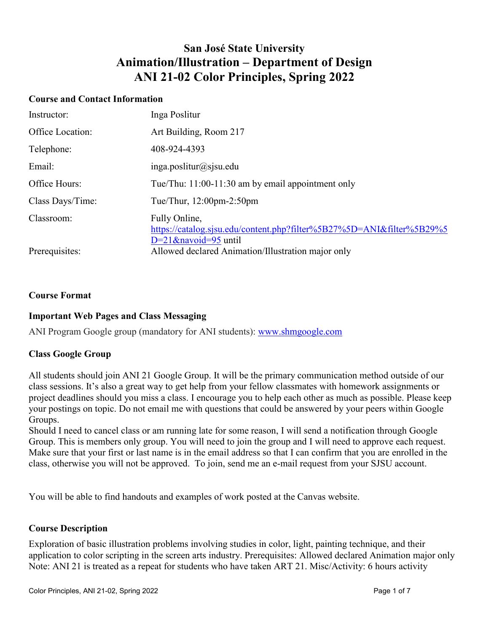## **San José State University Animation/Illustration – Department of Design ANI 21-02 Color Principles, Spring 2022**

#### **Course and Contact Information**

| Instructor:      | Inga Poslitur                                                                                                     |
|------------------|-------------------------------------------------------------------------------------------------------------------|
| Office Location: | Art Building, Room 217                                                                                            |
| Telephone:       | 408-924-4393                                                                                                      |
| Email:           | $inga.$ poslitur@sjsu.edu                                                                                         |
| Office Hours:    | Tue/Thu: 11:00-11:30 am by email appointment only                                                                 |
| Class Days/Time: | Tue/Thur, $12:00$ pm- $2:50$ pm                                                                                   |
| Classroom:       | Fully Online,<br>https://catalog.sjsu.edu/content.php?filter%5B27%5D=ANI&filter%5B29%5<br>$D=21$ &navoid=95 until |
| Prerequisites:   | Allowed declared Animation/Illustration major only                                                                |

## **Course Format**

## **Important Web Pages and Class Messaging**

ANI Program Google group (mandatory for ANI students): [www.shmgoogle.com](http://www.shmgoogle.com/)

## **Class Google Group**

All students should join ANI 21 Google Group. It will be the primary communication method outside of our class sessions. It's also a great way to get help from your fellow classmates with homework assignments or project deadlines should you miss a class. I encourage you to help each other as much as possible. Please keep your postings on topic. Do not email me with questions that could be answered by your peers within Google Groups.

Should I need to cancel class or am running late for some reason, I will send a notification through Google Group. This is members only group. You will need to join the group and I will need to approve each request. Make sure that your first or last name is in the email address so that I can confirm that you are enrolled in the class, otherwise you will not be approved. To join, send me an e-mail request from your SJSU account.

You will be able to find handouts and examples of work posted at the Canvas website.

## **Course Description**

Exploration of basic illustration problems involving studies in color, light, painting technique, and their application to color scripting in the screen arts industry. Prerequisites: Allowed declared Animation major only Note: ANI 21 is treated as a repeat for students who have taken ART 21. Misc/Activity: 6 hours activity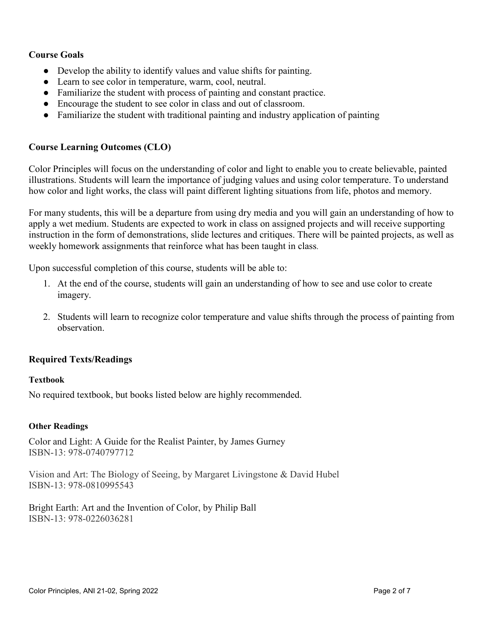## **Course Goals**

- Develop the ability to identify values and value shifts for painting.
- Learn to see color in temperature, warm, cool, neutral.
- Familiarize the student with process of painting and constant practice.
- Encourage the student to see color in class and out of classroom.
- Familiarize the student with traditional painting and industry application of painting

## **Course Learning Outcomes (CLO)**

Color Principles will focus on the understanding of color and light to enable you to create believable, painted illustrations. Students will learn the importance of judging values and using color temperature. To understand how color and light works, the class will paint different lighting situations from life, photos and memory.

For many students, this will be a departure from using dry media and you will gain an understanding of how to apply a wet medium. Students are expected to work in class on assigned projects and will receive supporting instruction in the form of demonstrations, slide lectures and critiques. There will be painted projects, as well as weekly homework assignments that reinforce what has been taught in class.

Upon successful completion of this course, students will be able to:

- 1. At the end of the course, students will gain an understanding of how to see and use color to create imagery.
- 2. Students will learn to recognize color temperature and value shifts through the process of painting from observation.

## **Required Texts/Readings**

## **Textbook**

No required textbook, but books listed below are highly recommended.

## **Other Readings**

Color and Light: A Guide for the Realist Painter, by James Gurney ISBN-13: 978-0740797712

Vision and Art: The Biology of Seeing, by Margaret Livingstone & David Hubel ISBN-13: 978-0810995543

Bright Earth: Art and the Invention of Color, by Philip Ball ISBN-13: 978-0226036281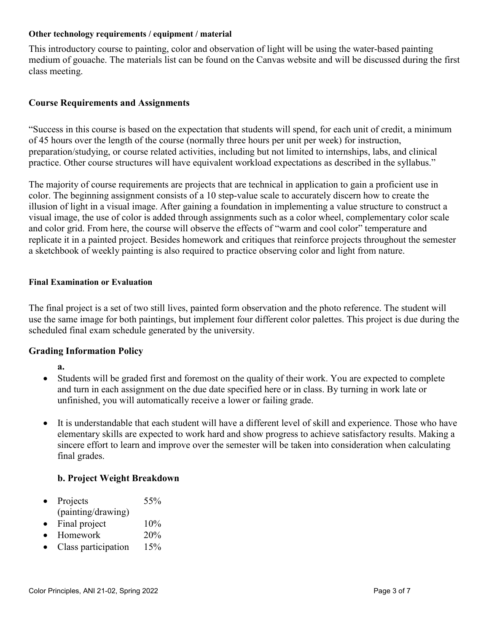#### **Other technology requirements / equipment / material**

This introductory course to painting, color and observation of light will be using the water-based painting medium of gouache. The materials list can be found on the Canvas website and will be discussed during the first class meeting.

## **Course Requirements and Assignments**

"Success in this course is based on the expectation that students will spend, for each unit of credit, a minimum of 45 hours over the length of the course (normally three hours per unit per week) for instruction, preparation/studying, or course related activities, including but not limited to internships, labs, and clinical practice. Other course structures will have equivalent workload expectations as described in the syllabus."

The majority of course requirements are projects that are technical in application to gain a proficient use in color. The beginning assignment consists of a 10 step-value scale to accurately discern how to create the illusion of light in a visual image. After gaining a foundation in implementing a value structure to construct a visual image, the use of color is added through assignments such as a color wheel, complementary color scale and color grid. From here, the course will observe the effects of "warm and cool color" temperature and replicate it in a painted project. Besides homework and critiques that reinforce projects throughout the semester a sketchbook of weekly painting is also required to practice observing color and light from nature.

#### **Final Examination or Evaluation**

The final project is a set of two still lives, painted form observation and the photo reference. The student will use the same image for both paintings, but implement four different color palettes. This project is due during the scheduled final exam schedule generated by the university.

## **Grading Information Policy**

- **a.**
- Students will be graded first and foremost on the quality of their work. You are expected to complete and turn in each assignment on the due date specified here or in class. By turning in work late or unfinished, you will automatically receive a lower or failing grade.
- It is understandable that each student will have a different level of skill and experience. Those who have elementary skills are expected to work hard and show progress to achieve satisfactory results. Making a sincere effort to learn and improve over the semester will be taken into consideration when calculating final grades.

## **b. Project Weight Breakdown**

- Projects 55% (painting/drawing)
- Final project  $10\%$
- Homework 20%
- Class participation 15%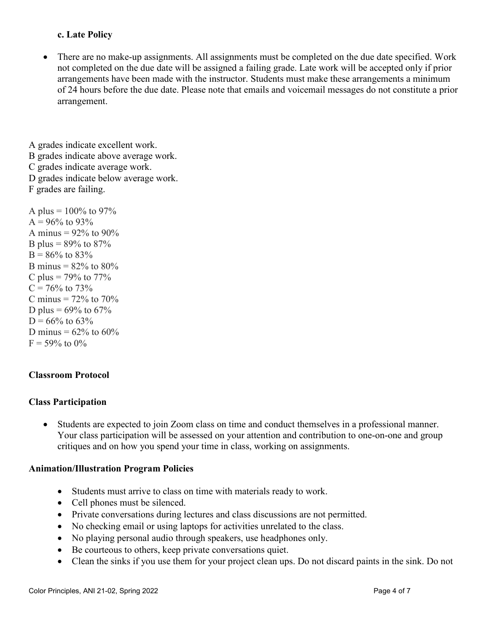## **c. Late Policy**

There are no make-up assignments. All assignments must be completed on the due date specified. Work not completed on the due date will be assigned a failing grade. Late work will be accepted only if prior arrangements have been made with the instructor. Students must make these arrangements a minimum of 24 hours before the due date. Please note that emails and voicemail messages do not constitute a prior arrangement.

A grades indicate excellent work. B grades indicate above average work. C grades indicate average work. D grades indicate below average work. F grades are failing.

A plus =  $100\%$  to 97%  $A = 96\%$  to 93% A minus =  $92\%$  to  $90\%$ B plus =  $89\%$  to  $87\%$  $B = 86\%$  to 83% B minus =  $82\%$  to  $80\%$ C plus =  $79\%$  to  $77\%$  $C = 76\%$  to 73% C minus  $= 72\%$  to 70% D plus =  $69\%$  to  $67\%$  $D = 66\%$  to 63% D minus =  $62\%$  to  $60\%$  $F = 59\%$  to 0%

## **Classroom Protocol**

## **Class Participation**

• Students are expected to join Zoom class on time and conduct themselves in a professional manner. Your class participation will be assessed on your attention and contribution to one-on-one and group critiques and on how you spend your time in class, working on assignments.

#### **Animation/Illustration Program Policies**

- Students must arrive to class on time with materials ready to work.
- Cell phones must be silenced.
- Private conversations during lectures and class discussions are not permitted.
- No checking email or using laptops for activities unrelated to the class.
- No playing personal audio through speakers, use headphones only.
- Be courteous to others, keep private conversations quiet.
- Clean the sinks if you use them for your project clean ups. Do not discard paints in the sink. Do not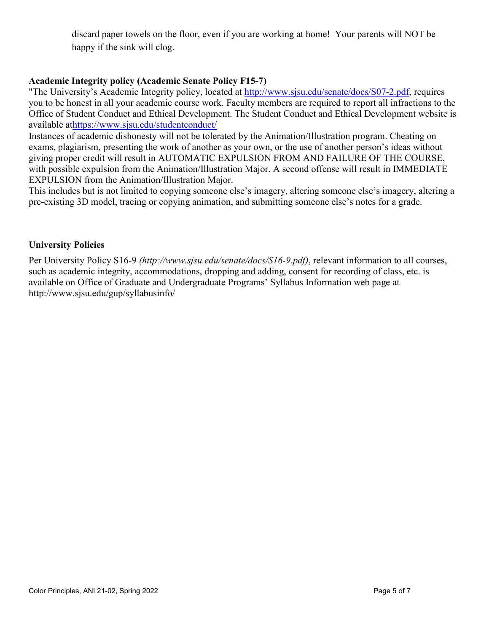discard paper towels on the floor, even if you are working at home! Your parents will NOT be happy if the sink will clog.

## **Academic Integrity policy (Academic Senate Policy F15-7)**

"The University's Academic Integrity policy, located at [http://www.sjsu.edu/senate/docs/S07-2.pdf,](http://www.sjsu.edu/senate/docs/S07-2.pdf) requires you to be honest in all your academic course work. Faculty members are required to report all infractions to the Office of Student Conduct and Ethical Development. The Student Conduct and Ethical Development website is available a[thttps://www.sjsu.edu/studentconduct/](https://www.sjsu.edu/studentconduct/)

Instances of academic dishonesty will not be tolerated by the Animation/Illustration program. Cheating on exams, plagiarism, presenting the work of another as your own, or the use of another person's ideas without giving proper credit will result in AUTOMATIC EXPULSION FROM AND FAILURE OF THE COURSE, with possible expulsion from the Animation/Illustration Major. A second offense will result in IMMEDIATE EXPULSION from the Animation/Illustration Major.

This includes but is not limited to copying someone else's imagery, altering someone else's imagery, altering a pre-existing 3D model, tracing or copying animation, and submitting someone else's notes for a grade.

## **University Policies**

Per University Policy S16-9 *(http://www.sjsu.edu/senate/docs/S16-9.pdf)*, relevant information to all courses, such as academic integrity, accommodations, dropping and adding, consent for recording of class, etc. is available on Office of Graduate and Undergraduate Programs' Syllabus Information web page at http://www.sjsu.edu/gup/syllabusinfo/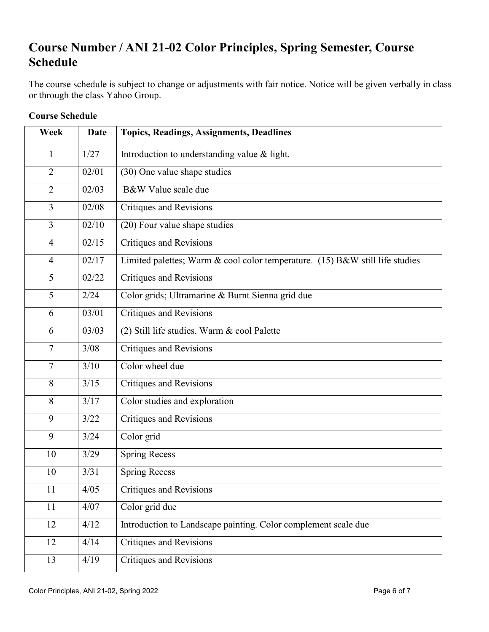# **Course Number / ANI 21-02 Color Principles, Spring Semester, Course Schedule**

The course schedule is subject to change or adjustments with fair notice. Notice will be given verbally in class or through the class Yahoo Group.

| Week           | <b>Date</b> | <b>Topics, Readings, Assignments, Deadlines</b>                              |
|----------------|-------------|------------------------------------------------------------------------------|
| $\mathbf{1}$   | 1/27        | Introduction to understanding value & light.                                 |
| $\overline{2}$ | 02/01       | (30) One value shape studies                                                 |
| $\overline{2}$ | 02/03       | B&W Value scale due                                                          |
| 3              | 02/08       | <b>Critiques and Revisions</b>                                               |
| 3              | 02/10       | (20) Four value shape studies                                                |
| $\overline{4}$ | 02/15       | <b>Critiques and Revisions</b>                                               |
| $\overline{4}$ | 02/17       | Limited palettes; Warm & cool color temperature. (15) B&W still life studies |
| 5              | 02/22       | <b>Critiques and Revisions</b>                                               |
| 5              | 2/24        | Color grids; Ultramarine & Burnt Sienna grid due                             |
| 6              | 03/01       | <b>Critiques and Revisions</b>                                               |
| 6              | 03/03       | (2) Still life studies. Warm & cool Palette                                  |
| $\overline{7}$ | 3/08        | <b>Critiques and Revisions</b>                                               |
| $\tau$         | 3/10        | Color wheel due                                                              |
| 8              | 3/15        | <b>Critiques and Revisions</b>                                               |
| 8              | 3/17        | Color studies and exploration                                                |
| 9              | 3/22        | <b>Critiques and Revisions</b>                                               |
| 9              | 3/24        | Color grid                                                                   |
| 10             | 3/29        | Spring Recess                                                                |
| 10             | 3/31        | <b>Spring Recess</b>                                                         |
| 11             | 4/05        | Critiques and Revisions                                                      |
| 11             | 4/07        | Color grid due                                                               |
| 12             | 4/12        | Introduction to Landscape painting. Color complement scale due               |
| 12             | 4/14        | <b>Critiques and Revisions</b>                                               |
| 13             | 4/19        | Critiques and Revisions                                                      |

## **Course Schedule**